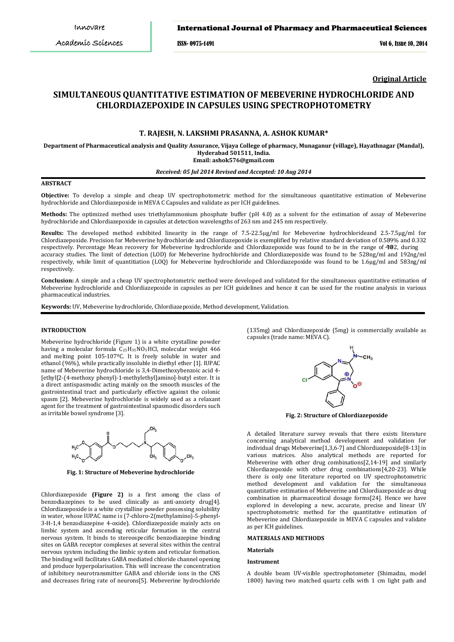ISSN- 0975-1491 Vol 6, Issue 10, 2014

**Original Article**

# **SIMULTANEOUS QUANTITATIVE ESTIMATION OF MEBEVERINE HYDROCHLORIDE AND CHLORDIAZEPOXIDE IN CAPSULES USING SPECTROPHOTOMETRY**

# **T. RAJESH, N. LAKSHMI PRASANNA, A. ASHOK KUMAR\***

**Department of Pharmaceutical analysis and Quality Assurance, Vijaya College of pharmacy, Munaganur (village), Hayathnagar (Mandal), Hyderabad 501511, India.**

**Email: ashok576@gmail.com**

# *Received: 05 Jul 2014 Revised and Accepted: 10 Aug 2014*

# **ABSTRACT**

**Objective:** To develop a simple and cheap UV spectrophotometric method for the simultaneous quantitative estimation of Mebeverine hydrochloride and Chlordiazepoxide in MEVA C Capsules and validate as per ICH guidelines.

**Methods:** The optimized method uses triethylammonium phosphate buffer (pH 4.0) as a solvent for the estimation of assay of Mebeverine hydrochloride and Chlordiazepoxide in capsules at detection wavelengths of 263 nm and 245 nm respectively.

**Results:** The developed method exhibited linearity in the range of 7.5-22.5μg/ml for Mebeverine hydrochlorideand 2.5-7.5μg/ml for Chlordiazepoxide. Precision for Mebeverine hydrochloride and Chlordiazepoxide is exemplified by relative standard deviation of 0.589% and 0.332 respectively. Percentage Mean recovery for Mebeverine hydrochloride and Chlordiazepoxide was found to be in the range of 982, during accuracy studies. The limit of detection (LOD) for Mebeverine hydrochloride and Chlordiazepoxide was found to be 528ng/ml and 192ng/ml respectively, while limit of quantitiation (LOQ) for Mebeverine hydrochloride and Chlordiazepoxide was found to be 1.6µg/ml and 583ng/ml respectively.

**Conclusion:** A simple and a cheap UV spectrophotometric method were developed and validated for the simultaneous quantitative estimation of Mebeverine hydrochloride and Chlordiazepoxide in capsules as per ICH guidelines and hence it can be used for the routine analysis in various pharmaceutical industries.

**Keywords:** UV, Mebeverine hydrochloride, Chlordiazepoxide, Method development, Validation.

## **INTRODUCTION**

Mebeverine hydrochloride (Figure 1) is a white crystalline powder having a molecular formula C 25H35NO5HCl, molecular weight 466 and melting point 105-107ºC. It is freely soluble in water and ethanol (96%), while practically insoluble in diethyl ether [1]. IUPAC name of Mebeverine hydrochloride is 3,4-Dimethoxybenzoic acid 4- [ethyl[2-(4-methoxy phenyl]-1-methylethyl]amino]-butyl ester. It is a direct antispasmodic acting mainly on the smooth muscles of the gastrointestinal tract and particularly effective against the colonic spasm [2]. Mebeverine hydrochloride is widely used as a relaxant agent for the treatment of gastrointestinal spasmodic disorders such as irritable bowel syndrome [3].



**Fig. 1: Structure of Mebeverine hydrochloride**

Chlordiazepoxide **(Figure 2)** is a first among the class of benzodiazepines to be used clinically as anti-anxiety drug[4]. Chlordiazepoxide is a white crystalline powder possessing solubility in water, whose IUPAC name is (7-chloro-2(methylamino)-5-phenyl-3-H-1,4 benzodiazepine 4-oxide). Chlordiazepoxide mainly acts on limbic system and ascending reticular formation in the central nervous system. It binds to stereospecific benzodiazepine binding sites on GABA receptor complexes at several sites within the central nervous system including the limbic system and reticular formation. The binding will facilitates GABA mediated chloride channel opening and produce hyperpolarisation. This will increase the concentration of inhibitory neurotransmitter GABA and chloride ions in the CNS and decreases firing rate of neurons[5]. Mebeverine hydrochloride

(135mg) and Chlordiazepoxide (5mg) is commercially available as capsules (trade name: MEVA C).



**Fig. 2: Structure of Chlordiazepoxide**

A detailed literature survey reveals that there exists literature concerning analytical method development and validation for individual drugs Mebeverine[1,3,6-7] and Chlordiazepoxide[8-13] in various matrices. Also analytical methods are reported for Mebeverine with other drug combinations[2,14-19] and similarly Chlordiazepoxide with other drug combinations[4,20-23]. While there is only one literature reported on UV spectrophotometric method development and validation for the simultaneous quantitative estimation of Mebeverine and Chlordiazepoxide as drug combination in pharmaceutical dosage forms[24]. Hence we have explored in developing a new, accurate, precise and linear UV spectrophotometric method for the quantitative estimation of Mebeverine and Chlordiazepoxide in MEVA C capsules and validate as per ICH guidelines.

## **MATERIALS AND METHODS**

#### **Materials**

#### **Instrument**

A double beam UV-visible spectrophotometer (Shimadzu, model 1800) having two matched quartz cells with 1 cm light path and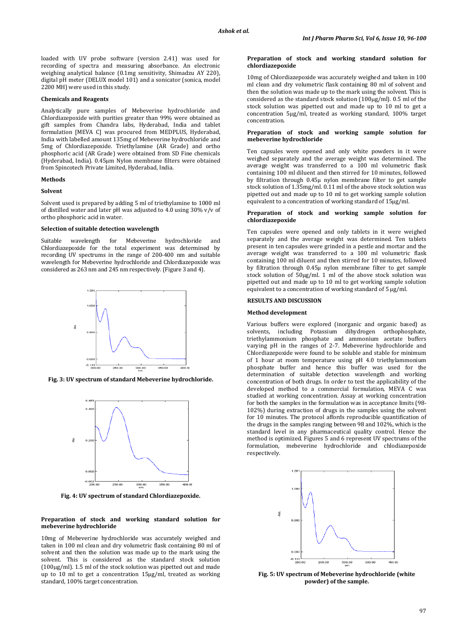loaded with UV probe software (version 2.41) was used for recording of spectra and measuring absorbance. An electronic weighing analytical balance (0.1mg sensitivity, Shimadzu AY 220), digital pH meter (DELUX model 101) and a sonicator (sonica, model 2200 MH) were used in this study.

## **Chemicals and Reagents**

Analytically pure samples of Mebeverine hydrochloride and Chlordiazepoxide with purities greater than 99% were obtained as gift samples from Chandra labs, Hyderabad, India and tablet formulation [MEVA C] was procured from MEDPLUS, Hyderabad, India with labelled amount 135mg of Mebeverine hydrochloride and 5mg of Chlordiazepoxide. Triethylamine (AR Grade) and ortho phosphoric acid (AR Grade) were obtained from SD Fine chemicals (Hyderabad, India). 0.45μm Nylon membrane filters were obtained from Spincotech Private Limited, Hyderabad, India.

# **Methods**

#### **Solvent**

Solvent used is prepared by adding 5 ml of triethylamine to 1000 ml of distilled water and later pH was adjusted to 4.0 using 30% v/v of ortho phosphoric acid in water.

# **Selection of suitable detection wavelength**

Suitable wavelength for Mebeverine hydrochloride and Chlordiazepoxide for the total experiment was determined by recording UV spectrums in the range of 200-400 nm and suitable wavelength for Mebeverine hydrochloride and Chlordiazepoxide was considered as 263 nm and 245 nm respectively.(Figure 3 and 4).



**Fig. 3: UV spectrum of standard Mebeverine hydrochloride.**



**Fig. 4: UV spectrum of standard Chlordiazepoxide.**

### **Preparation of stock and working standard solution for mebeverine hydrochloride**

10mg of Mebeverine hydrochloride was accurately weighed and taken in 100 ml clean and dry volumetric flask containing 80 ml of solvent and then the solution was made up to the mark using the solvent. This is considered as the standard stock solution (100µg/ml). 1.5 ml of the stock solution was pipetted out and made up to 10 ml to get a concentration 15µg/ml, treated as working standard, 100% target concentration.

## **Preparation of stock and working standard solution for chlordiazepoxide**

10mg of Chlordiazepoxide was accurately weighed and taken in 100 ml clean and dry volumetric flask containing 80 ml of solvent and then the solution was made up to the mark using the solvent. This is considered as the standard stock solution (100µg/ml). 0.5 ml of the stock solution was pipetted out and made up to 10 ml to get a concentration 5µg/ml, treated as working standard, 100% target concentration.

### **Preparation of stock and working sample solution for mebeverine hydrochloride**

Ten capsules were opened and only white powders in it were weighed separately and the average weight was determined. The average weight was transferred to a 100 ml volumetric flask containing 100 ml diluent and then stirred for 10 minutes, followed by filtration through 0.45µ nylon membrane filter to get sample stock solution of 1.35mg/ml. 0.11 ml of the above stock solution was pipetted out and made up to 10 ml to get working sample solution equivalent to a concentration of working standard of 15µg/ml.

## **Preparation of stock and working sample solution for chlordiazepoxide**

Ten capsules were opened and only tablets in it were weighed separately and the average weight was determined. Ten tablets present in ten capsules were grinded in a pestle and mortar and the average weight was transferred to a 100 ml volumetric flask containing 100 ml diluent and then stirred for 10 minutes, followed by filtration through 0.45µ nylon membrane filter to get sample stock solution of 50µg/ml. 1 ml of the above stock solution was pipetted out and made up to 10 ml to get working sample solution equivalent to a concentration of working standard of 5 ug/ml.

### **RESULTS AND DISCUSSION**

# **Method development**

Various buffers were explored (inorganic and organic based) as solvents, including Potassium dihydrogen orthophosphate, triethylammonium phosphate and ammonium acetate buffers varying pH in the ranges of 2-7. Mebeverine hydrochloride and Chlordiazepoxide were found to be soluble and stable for minimum of 1 hour at room temperature using pH 4.0 triethylammonium phosphate buffer and hence this buffer was used for the determination of suitable detection wavelength and working concentration of both drugs. In order to test the applicability of the developed method to a commercial formulation, MEVA C was studied at working concentration. Assay at working concentration for both the samples in the formulation was in acceptance limits (98- 102%) during extraction of drugs in the samples using the solvent for 10 minutes. The protocol affords reproducible quantification of the drugs in the samples ranging between 98 and 102%, which is the standard level in any pharmaceutical quality control. Hence the method is optimized. Figures 5 and 6 represent UV spectrums of the formulation, mebeverine hydrochloride and chlodiazepoxide respectively.



**Fig. 5: UV spectrum of Mebeverine hydrochloride (white powder) of the sample.**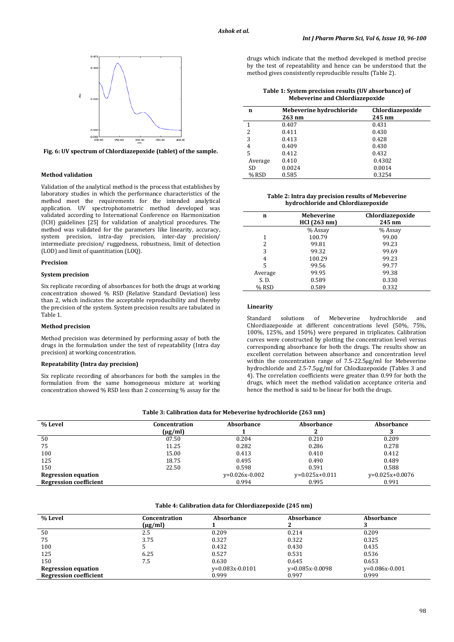

**Fig. 6: UV spectrum of Chlordiazepoxide (tablet) of the sample.**

#### **Method validation**

Validation of the analytical method is the process that establishes by laboratory studies in which the performance characteristics of the method meet the requirements for the intended analytical application. UV spectrophotometric method developed was validated according to International Conference on Harmonization (ICH) guidelines [25] for validation of analytical procedures. The method was validated for the parameters like linearity, accuracy, system precision, intra-day precision, inter-day precision/ intermediate precision/ ruggedness, robustness, limit of detection (LOD) and limit of quantitiation (LOQ).

## **Precision**

#### **System precision**

Six replicate recording of absorbances for both the drugs at working concentration showed % RSD (Relative Standard Deviation) less than 2, which indicates the acceptable reproducibility and thereby the precision of the system. System precision results are tabulated in Table 1.

#### **Method precision**

Method precision was determined by performing assay of both the drugs in the formulation under the test of repeatability (Intra day precision) at working concentration.

## **Repeatability (Intra day precision)**

Six replicate recording of absorbances for both the samples in the formulation from the same homogeneous mixture at working concentration showed % RSD less than 2 concerning % assay for the drugs which indicate that the method developed is method precise by the test of repeatability and hence can be understood that the method gives consistently reproducible results (Table 2).

**Table 1: System precision results (UV absorbance) of Mebeverine and Chlordiazepoxide**

| n       | Mebeverine hydrochloride<br>$263 \text{ nm}$ | Chlordiazepoxide<br>245 nm |
|---------|----------------------------------------------|----------------------------|
| 1       | 0.407                                        | 0.431                      |
| 2       | 0.411                                        | 0.430                      |
| 3       | 0.413                                        | 0.428                      |
| 4       | 0.409                                        | 0.430                      |
| 5       | 0.412                                        | 0.432                      |
| Average | 0.410                                        | 0.4302                     |
| SD.     | 0.0024                                       | 0.0014                     |
| % RSD   | 0.585                                        | 0.3254                     |

**Table 2: Intra day precision results of Mebeverine hydrochloride and Chlordiazepoxide**

| n       | <b>Mebeverine</b><br>HCl(263 nm) | Chlordiazepoxide<br>245 nm |
|---------|----------------------------------|----------------------------|
|         | % Assay                          | % Assay                    |
|         | 100.79                           | 99.00                      |
| 2       | 99.81                            | 99.23                      |
| 3       | 99.32                            | 99.69                      |
| 4       | 100.29                           | 99.23                      |
| 5       | 99.56                            | 99.77                      |
| Average | 99.95                            | 99.38                      |
| S. D.   | 0.589                            | 0.330                      |
| % RSD   | 0.589                            | 0.332                      |

# **Linearity**

Standard solutions of Mebeverine hydrochloride and Chlordiazepoxide at different concentrations level (50%, 75%, 100%, 125%, and 150%) were prepared in triplicates. Calibration curves were constructed by plotting the concentration level versus corresponding absorbance for both the drugs. The results show an excellent correlation between absorbance and concentration level within the concentration range of 7.5-22.5µg/ml for Mebeverine hydrochloride and 2.5-7.5µg/ml for Chlodiazepoxide (Tables 3 and 4). The correlation coefficients were greater than 0.99 for both the drugs, which meet the method validation acceptance criteria and hence the method is said to be linear for both the drugs.

| Table 3: Calibration data for Mebeverine hydrochloride (263 nm) |  |  |
|-----------------------------------------------------------------|--|--|
|                                                                 |  |  |

| % Level                       | Concentration<br>$(\mu g/ml)$ | Absorbance       | Absorbance       | Absorbance        |
|-------------------------------|-------------------------------|------------------|------------------|-------------------|
| 50                            | 07.50                         | 0.204            | 0.210            | 0.209             |
| 75                            | 11.25                         | 0.282            | 0.286            | 0.278             |
| 100                           | 15.00                         | 0.413            | 0.410            | 0.412             |
| 125                           | 18.75                         | 0.495            | 0.490            | 0.489             |
| 150                           | 22.50                         | 0.598            | 0.591            | 0.588             |
| <b>Regression equation</b>    |                               | $v=0.026x-0.002$ | $y=0.025x+0.011$ | $v=0.025x+0.0076$ |
| <b>Regression coefficient</b> |                               | 0.994            | 0.995            | 0.991             |

#### **Table 4: Calibration data for Chlordiazepoxide (245 nm)**

| % Level                       | Concentration<br>$(\mu g/ml)$ | Absorbance        | Absorbance        | <b>Absorbance</b> |
|-------------------------------|-------------------------------|-------------------|-------------------|-------------------|
| 50                            | 2.5                           | 0.209             | 0.214             | 0.209             |
| 75                            | 3.75                          | 0.327             | 0.322             | 0.325             |
| 100                           |                               | 0.432             | 0.430             | 0.435             |
| 125                           | 6.25                          | 0.527             | 0.531             | 0.536             |
| 150                           | 7.5                           | 0.630             | 0.645             | 0.653             |
| <b>Regression equation</b>    |                               | $y=0.083x-0.0101$ | $v=0.085x-0.0098$ | $v=0.086x-0.001$  |
| <b>Regression coefficient</b> |                               | 0.999             | 0.997             | 0.999             |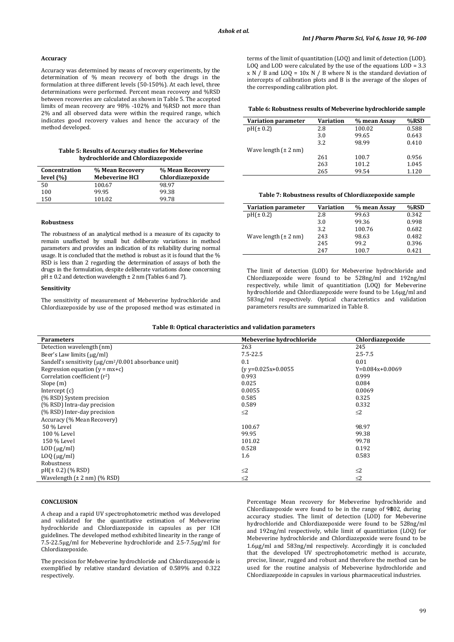#### **Accuracy**

Accuracy was determined by means of recovery experiments, by the determination of % mean recovery of both the drugs in the formulation at three different levels (50-150%). At each level, three determinations were performed. Percent mean recovery and %RSD between recoveries are calculated as shown in Table 5. The accepted limits of mean recovery are 98% -102% and %RSD not more than 2% and all observed data were within the required range, which indicates good recovery values and hence the accuracy of the method developed.

#### **Table 5: Results of Accuracy studies for Mebeverine hydrochloride and Chlordiazepoxide**

| Concentration<br>level $(\% )$ | % Mean Recovery<br><b>Mebeverine HCl</b> | % Mean Recovery<br>Chlordiazepoxide |
|--------------------------------|------------------------------------------|-------------------------------------|
| 50                             | 100.67                                   | 98.97                               |
| 100                            | 99.95                                    | 99.38                               |
| 150                            | 101.02                                   | 99.78                               |

## **Robustness**

The robustness of an analytical method is a measure of its capacity to remain unaffected by small but deliberate variations in method parameters and provides an indication of its reliability during normal usage. It is concluded that the method is robust as it is found that the % RSD is less than 2 regarding the determination of assays of both the drugs in the formulation, despite deliberate variations done concerning  $pH \pm 0.2$  and detection wavelength  $\pm 2$  nm (Tables 6 and 7).

# **Sensitivity**

The sensitivity of measurement of Mebeverine hydrochloride and Chlordiazepoxide by use of the proposed method was estimated in terms of the limit of quantitation (LOQ) and limit of detection (LOD). LOQ and LOD were calculated by the use of the equations LOD = 3.3 x N / B and LOQ = 10x N / B where N is the standard deviation of intercepts of calibration plots and B is the average of the slopes of the corresponding calibration plot.

## **Table 6: Robustness results of Mebeverine hydrochloride sample**

| <b>Variation parameter</b>       | <b>Variation</b> | % mean Assay | %RSD  |
|----------------------------------|------------------|--------------|-------|
| pH(±0.2)                         | 2.8              | 100.02       | 0.588 |
|                                  | 3.0              | 99.65        | 0.643 |
|                                  | 3.2              | 98.99        | 0.410 |
| Wave length $(\pm 2 \text{ nm})$ |                  |              |       |
|                                  | 261              | 100.7        | 0.956 |
|                                  | 263              | 101.2        | 1.045 |
|                                  | 265              | 99.54        | 1.120 |
|                                  |                  |              |       |

# **Table 7: Robustness results of Chlordiazepoxide sample**

| Variation parameter              | Variation | % mean Assay | %RSD  |
|----------------------------------|-----------|--------------|-------|
| $pH(\pm 0.2)$                    | 2.8       | 99.63        | 0.342 |
|                                  | 3.0       | 99.36        | 0.998 |
|                                  | 3.2       | 100.76       | 0.682 |
| Wave length $(\pm 2 \text{ nm})$ | 243       | 98.63        | 0.482 |
|                                  | 245       | 99.2         | 0.396 |
|                                  | 247       | 100.7        | 0.421 |

The limit of detection (LOD) for Mebeverine hydrochloride and Chlordiazepoxide were found to be 528ng/ml and 192ng/ml respectively, while limit of quantitiation (LOQ) for Mebeverine hydrochloride and Chlordiazepoxide were found to be 1.6µg/ml and 583ng/ml respectively. Optical characteristics and validation parameters results are summarized in Table 8.

|  | Table 8: Optical characteristics and validation parameters |  |
|--|------------------------------------------------------------|--|
|--|------------------------------------------------------------|--|

| <b>Parameters</b>                                                       | Mebeverine hydrochloride | Chlordiazepoxide  |
|-------------------------------------------------------------------------|--------------------------|-------------------|
| Detection wavelength (nm)                                               | 263                      | 245               |
| Beer's Law limits (µg/ml)                                               | $7.5 - 22.5$             | $2.5 - 7.5$       |
| Sandell's sensitivity ( $\mu$ g/cm <sup>2</sup> /0.001 absorbance unit) | 0.1                      | 0.01              |
| Regression equation $(v = mx+c)$                                        | $(v v=0.025x+0.0055$     | $Y=0.084x+0.0069$ |
| Correlation coefficient $(r^2)$                                         | 0.993                    | 0.999             |
| Slope(m)                                                                | 0.025                    | 0.084             |
| Intercept $(c)$                                                         | 0.0055                   | 0.0069            |
| (% RSD) System precision                                                | 0.585                    | 0.325             |
| (% RSD) Intra-day precision                                             | 0.589                    | 0.332             |
| (% RSD) Inter-day precision                                             | $\leq$ 2                 | $\leq$ 2          |
| Accuracy (% Mean Recovery)                                              |                          |                   |
| 50 % Level                                                              | 100.67                   | 98.97             |
| 100 % Level                                                             | 99.95                    | 99.38             |
| 150 % Level                                                             | 101.02                   | 99.78             |
| $LOD$ ( $\mu$ g/ml)                                                     | 0.528                    | 0.192             |
| $L OQ$ ( $\mu$ g/ml)                                                    | 1.6                      | 0.583             |
| Robustness                                                              |                          |                   |
| $pH(\pm 0.2)$ (% RSD)                                                   | $\leq$ 2                 | $\leq$ 2          |
| Wavelength $(\pm 2 \text{ nm})$ (% RSD)                                 | $\leq$ 2                 | $\leq$ 2          |

#### **CONCLUSION**

A cheap and a rapid UV spectrophotometric method was developed and validated for the quantitative estimation of Mebeverine hydrochloride and Chlordiazepoxide in capsules as per ICH guidelines. The developed method exhibited linearity in the range of 7.5-22.5μg/ml for Mebeverine hydrochloride and 2.5-7.5μg/ml for Chlordiazepoxide.

The precision for Mebeverine hydrochloride and Chlordiazepoxide is exemplified by relative standard deviation of 0.589% and 0.322 respectively.

Percentage Mean recovery for Mebeverine hydrochloride and Chlordiazepoxide were found to be in the range of  $9802$ , during accuracy studies. The limit of detection (LOD) for Mebeverine hydrochloride and Chlordiazepoxide were found to be 528ng/ml and 192ng/ml respectively, while limit of quantitiation (LOQ) for Mebeverine hydrochloride and Chlordiazepoxide were found to be 1.6µg/ml and 583ng/ml respectively. Accordingly it is concluded that the developed UV spectrophotometric method is accurate, precise, linear, rugged and robust and therefore the method can be used for the routine analysis of Mebeverine hydrochloride and Chlordiazepoxide in capsules in various pharmaceutical industries.